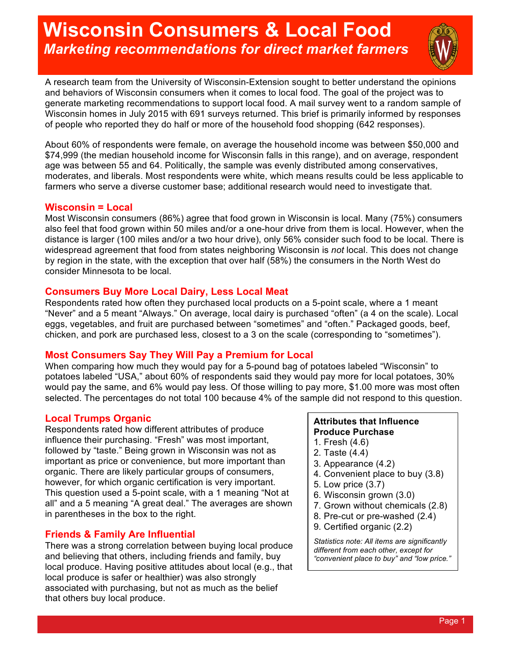# **Wisconsin Consumers & Local Food** *Marketing recommendations for direct market farmers*



A research team from the University of Wisconsin-Extension sought to better understand the opinions and behaviors of Wisconsin consumers when it comes to local food. The goal of the project was to generate marketing recommendations to support local food. A mail survey went to a random sample of Wisconsin homes in July 2015 with 691 surveys returned. This brief is primarily informed by responses of people who reported they do half or more of the household food shopping (642 responses).

About 60% of respondents were female, on average the household income was between \$50,000 and \$74,999 (the median household income for Wisconsin falls in this range), and on average, respondent age was between 55 and 64. Politically, the sample was evenly distributed among conservatives, moderates, and liberals. Most respondents were white, which means results could be less applicable to farmers who serve a diverse customer base; additional research would need to investigate that.

## **Wisconsin = Local**

Most Wisconsin consumers (86%) agree that food grown in Wisconsin is local. Many (75%) consumers also feel that food grown within 50 miles and/or a one-hour drive from them is local. However, when the distance is larger (100 miles and/or a two hour drive), only 56% consider such food to be local. There is widespread agreement that food from states neighboring Wisconsin is *not* local. This does not change by region in the state, with the exception that over half (58%) the consumers in the North West do consider Minnesota to be local.

## **Consumers Buy More Local Dairy, Less Local Meat**

Respondents rated how often they purchased local products on a 5-point scale, where a 1 meant "Never" and a 5 meant "Always." On average, local dairy is purchased "often" (a 4 on the scale). Local eggs, vegetables, and fruit are purchased between "sometimes" and "often." Packaged goods, beef, chicken, and pork are purchased less, closest to a 3 on the scale (corresponding to "sometimes").

# **Most Consumers Say They Will Pay a Premium for Local**

When comparing how much they would pay for a 5-pound bag of potatoes labeled "Wisconsin" to potatoes labeled "USA," about 60% of respondents said they would pay more for local potatoes, 30% would pay the same, and 6% would pay less. Of those willing to pay more, \$1.00 more was most often selected. The percentages do not total 100 because 4% of the sample did not respond to this question.

# **Local Trumps Organic**

Respondents rated how different attributes of produce influence their purchasing. "Fresh" was most important, followed by "taste." Being grown in Wisconsin was not as important as price or convenience, but more important than organic. There are likely particular groups of consumers, however, for which organic certification is very important. This question used a 5-point scale, with a 1 meaning "Not at all" and a 5 meaning "A great deal." The averages are shown in parentheses in the box to the right.

# **Friends & Family Are Influential**

There was a strong correlation between buying local produce and believing that others, including friends and family, buy local produce. Having positive attitudes about local (e.g., that local produce is safer or healthier) was also strongly associated with purchasing, but not as much as the belief that others buy local produce.

### **Attributes that Influence Produce Purchase**

- 1. Fresh (4.6)
- 2. Taste (4.4)
- 3. Appearance (4.2)
- 4. Convenient place to buy (3.8)
- 5. Low price (3.7)
- 6. Wisconsin grown (3.0)
- 7. Grown without chemicals (2.8)
- 8. Pre-cut or pre-washed (2.4)
- 9. Certified organic (2.2)

*Statistics note: All items are significantly different from each other, except for "convenient place to buy" and "low price."*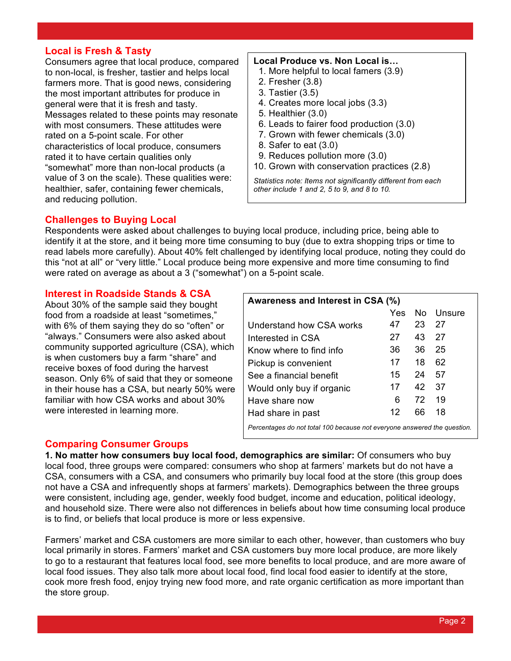## **Local is Fresh & Tasty**

Consumers agree that local produce, compared to non-local, is fresher, tastier and helps local farmers more. That is good news, considering the most important attributes for produce in general were that it is fresh and tasty. Messages related to these points may resonate with most consumers. These attitudes were rated on a 5-point scale. For other characteristics of local produce, consumers rated it to have certain qualities only "somewhat" more than non-local products (a value of 3 on the scale). These qualities were: healthier, safer, containing fewer chemicals, and reducing pollution.

#### **Local Produce vs. Non Local is…**

- 1. More helpful to local famers (3.9)
- 2. Fresher (3.8)
- 3. Tastier (3.5)
- 4. Creates more local jobs (3.3)
- 5. Healthier (3.0)
- 6. Leads to fairer food production (3.0)
- 7. Grown with fewer chemicals (3.0)
- 8. Safer to eat (3.0)
- 9. Reduces pollution more (3.0)
- 10. Grown with conservation practices (2.8)

*Statistics note: Items not significantly different from each other include 1 and 2, 5 to 9, and 8 to 10.*

#### **Challenges to Buying Local**

Respondents were asked about challenges to buying local produce, including price, being able to identify it at the store, and it being more time consuming to buy (due to extra shopping trips or time to read labels more carefully). About 40% felt challenged by identifying local produce, noting they could do this "not at all" or "very little." Local produce being more expensive and more time consuming to find were rated on average as about a 3 ("somewhat") on a 5-point scale.

## **Interest in Roadside Stands & CSA**

About 30% of the sample said they bought food from a roadside at least "sometimes," with 6% of them saying they do so "often" or "always." Consumers were also asked about community supported agriculture (CSA), which is when customers buy a farm "share" and receive boxes of food during the harvest season. Only 6% of said that they or someone in their house has a CSA, but nearly 50% were familiar with how CSA works and about 30% were interested in learning more.

| Awareness and Interest in CSA (%)                                        |     |     |        |
|--------------------------------------------------------------------------|-----|-----|--------|
|                                                                          | Yes | No. | Unsure |
| Understand how CSA works                                                 | 47  | 23  | 27     |
| Interested in CSA                                                        | 27  | 43  | 27     |
| Know where to find info                                                  | 36  | 36  | 25     |
| Pickup is convenient                                                     | 17  | 18  | 62     |
| See a financial benefit                                                  | 15  | 24  | 57     |
| Would only buy if organic                                                | 17  | 42  | 37     |
| Have share now                                                           | 6   | 72  | 19     |
| Had share in past                                                        | 12  | 66  | 18     |
| Percentages do not total 100 because not everyone answered the question. |     |     |        |

#### **Comparing Consumer Groups**

**1. No matter how consumers buy local food, demographics are similar:** Of consumers who buy local food, three groups were compared: consumers who shop at farmers' markets but do not have a CSA, consumers with a CSA, and consumers who primarily buy local food at the store (this group does not have a CSA and infrequently shops at farmers' markets). Demographics between the three groups were consistent, including age, gender, weekly food budget, income and education, political ideology, and household size. There were also not differences in beliefs about how time consuming local produce is to find, or beliefs that local produce is more or less expensive.

Farmers' market and CSA customers are more similar to each other, however, than customers who buy local primarily in stores. Farmers' market and CSA customers buy more local produce, are more likely to go to a restaurant that features local food, see more benefits to local produce, and are more aware of local food issues. They also talk more about local food, find local food easier to identify at the store, cook more fresh food, enjoy trying new food more, and rate organic certification as more important than the store group.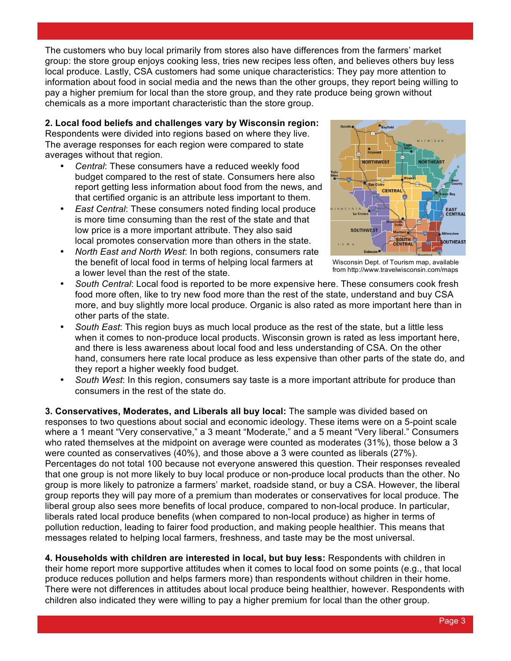The customers who buy local primarily from stores also have differences from the farmers' market group: the store group enjoys cooking less, tries new recipes less often, and believes others buy less local produce. Lastly, CSA customers had some unique characteristics: They pay more attention to information about food in social media and the news than the other groups, they report being willing to pay a higher premium for local than the store group, and they rate produce being grown without chemicals as a more important characteristic than the store group.

**2. Local food beliefs and challenges vary by Wisconsin region:** Respondents were divided into regions based on where they live. The average responses for each region were compared to state averages without that region.

- *Central*: These consumers have a reduced weekly food budget compared to the rest of state. Consumers here also report getting less information about food from the news, and that certified organic is an attribute less important to them.
- *East Central*: These consumers noted finding local produce is more time consuming than the rest of the state and that low price is a more important attribute. They also said local promotes conservation more than others in the state.
- *North East and North West*: In both regions, consumers rate the benefit of local food in terms of helping local farmers at a lower level than the rest of the state.



 Wisconsin Dept. of Tourism map, available from http://www.travelwisconsin.com/maps

- *South Central*: Local food is reported to be more expensive here. These consumers cook fresh food more often, like to try new food more than the rest of the state, understand and buy CSA more, and buy slightly more local produce. Organic is also rated as more important here than in other parts of the state.
- *South East*: This region buys as much local produce as the rest of the state, but a little less when it comes to non-produce local products. Wisconsin grown is rated as less important here, and there is less awareness about local food and less understanding of CSA. On the other hand, consumers here rate local produce as less expensive than other parts of the state do, and they report a higher weekly food budget.
- *South West*: In this region, consumers say taste is a more important attribute for produce than consumers in the rest of the state do.

**3. Conservatives, Moderates, and Liberals all buy local:** The sample was divided based on responses to two questions about social and economic ideology. These items were on a 5-point scale where a 1 meant "Very conservative," a 3 meant "Moderate," and a 5 meant "Very liberal." Consumers who rated themselves at the midpoint on average were counted as moderates (31%), those below a 3 were counted as conservatives (40%), and those above a 3 were counted as liberals (27%). Percentages do not total 100 because not everyone answered this question. Their responses revealed that one group is not more likely to buy local produce or non-produce local products than the other. No group is more likely to patronize a farmers' market, roadside stand, or buy a CSA. However, the liberal group reports they will pay more of a premium than moderates or conservatives for local produce. The liberal group also sees more benefits of local produce, compared to non-local produce. In particular, liberals rated local produce benefits (when compared to non-local produce) as higher in terms of pollution reduction, leading to fairer food production, and making people healthier. This means that messages related to helping local farmers, freshness, and taste may be the most universal.

**4. Households with children are interested in local, but buy less:** Respondents with children in their home report more supportive attitudes when it comes to local food on some points (e.g., that local produce reduces pollution and helps farmers more) than respondents without children in their home. There were not differences in attitudes about local produce being healthier, however. Respondents with children also indicated they were willing to pay a higher premium for local than the other group.